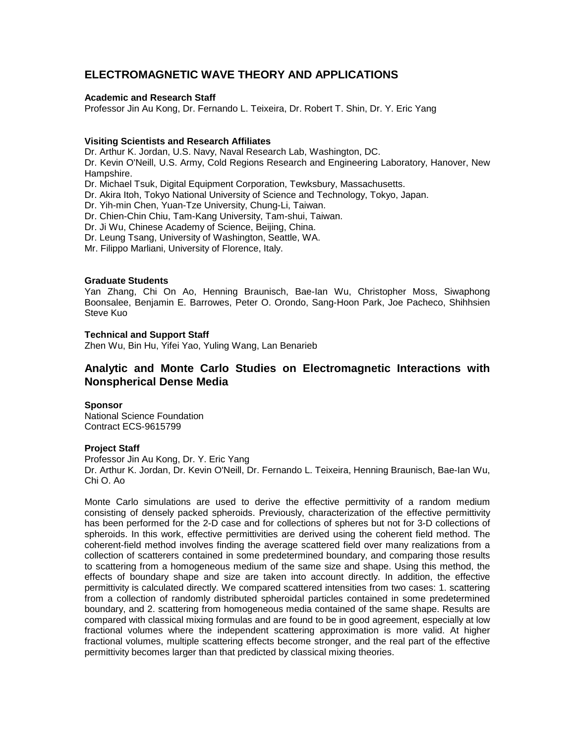# **ELECTROMAGNETIC WAVE THEORY AND APPLICATIONS**

## **Academic and Research Staff**

Professor Jin Au Kong, Dr. Fernando L. Teixeira, Dr. Robert T. Shin, Dr. Y. Eric Yang

## **Visiting Scientists and Research Affiliates**

Dr. Arthur K. Jordan, U.S. Navy, Naval Research Lab, Washington, DC.

Dr. Kevin O'Neill, U.S. Army, Cold Regions Research and Engineering Laboratory, Hanover, New Hampshire.

Dr. Michael Tsuk, Digital Equipment Corporation, Tewksbury, Massachusetts.

Dr. Akira Itoh, Tokyo National University of Science and Technology, Tokyo, Japan.

Dr. Yih-min Chen, Yuan-Tze University, Chung-Li, Taiwan.

Dr. Chien-Chin Chiu, Tam-Kang University, Tam-shui, Taiwan.

Dr. Ji Wu, Chinese Academy of Science, Beijing, China.

Dr. Leung Tsang, University of Washington, Seattle, WA.

Mr. Filippo Marliani, University of Florence, Italy.

### **Graduate Students**

Yan Zhang, Chi On Ao, Henning Braunisch, Bae-Ian Wu, Christopher Moss, Siwaphong Boonsalee, Benjamin E. Barrowes, Peter O. Orondo, Sang-Hoon Park, Joe Pacheco, Shihhsien Steve Kuo

## **Technical and Support Staff**

Zhen Wu, Bin Hu, Yifei Yao, Yuling Wang, Lan Benarieb

# **Analytic and Monte Carlo Studies on Electromagnetic Interactions with Nonspherical Dense Media**

### **Sponsor**

National Science Foundation Contract ECS-9615799

### **Project Staff**

Professor Jin Au Kong, Dr. Y. Eric Yang Dr. Arthur K. Jordan, Dr. Kevin O'Neill, Dr. Fernando L. Teixeira, Henning Braunisch, Bae-Ian Wu, Chi O. Ao

Monte Carlo simulations are used to derive the effective permittivity of a random medium consisting of densely packed spheroids. Previously, characterization of the effective permittivity has been performed for the 2-D case and for collections of spheres but not for 3-D collections of spheroids. In this work, effective permittivities are derived using the coherent field method. The coherent-field method involves finding the average scattered field over many realizations from a collection of scatterers contained in some predetermined boundary, and comparing those results to scattering from a homogeneous medium of the same size and shape. Using this method, the effects of boundary shape and size are taken into account directly. In addition, the effective permittivity is calculated directly. We compared scattered intensities from two cases: 1. scattering from a collection of randomly distributed spheroidal particles contained in some predetermined boundary, and 2. scattering from homogeneous media contained of the same shape. Results are compared with classical mixing formulas and are found to be in good agreement, especially at low fractional volumes where the independent scattering approximation is more valid. At higher fractional volumes, multiple scattering effects become stronger, and the real part of the effective permittivity becomes larger than that predicted by classical mixing theories.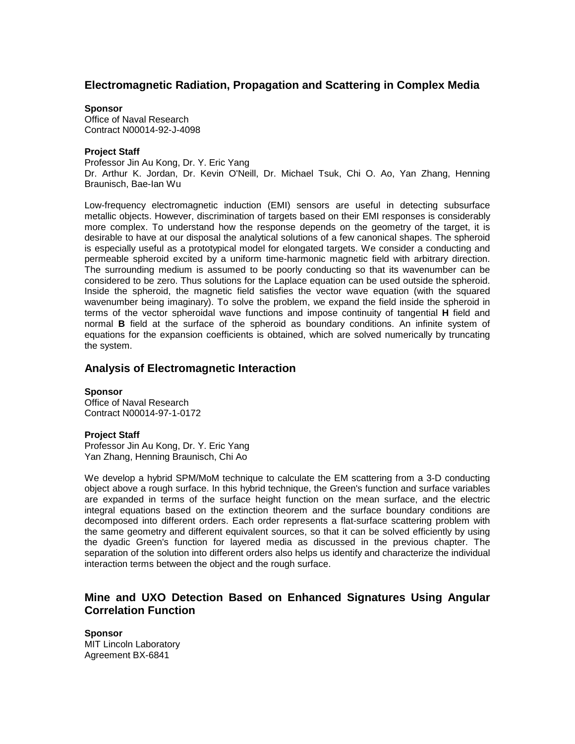## **Electromagnetic Radiation, Propagation and Scattering in Complex Media**

#### **Sponsor**

Office of Naval Research Contract N00014-92-J-4098

### **Project Staff**

Professor Jin Au Kong, Dr. Y. Eric Yang Dr. Arthur K. Jordan, Dr. Kevin O'Neill, Dr. Michael Tsuk, Chi O. Ao, Yan Zhang, Henning Braunisch, Bae-Ian Wu

Low-frequency electromagnetic induction (EMI) sensors are useful in detecting subsurface metallic objects. However, discrimination of targets based on their EMI responses is considerably more complex. To understand how the response depends on the geometry of the target, it is desirable to have at our disposal the analytical solutions of a few canonical shapes. The spheroid is especially useful as a prototypical model for elongated targets. We consider a conducting and permeable spheroid excited by a uniform time-harmonic magnetic field with arbitrary direction. The surrounding medium is assumed to be poorly conducting so that its wavenumber can be considered to be zero. Thus solutions for the Laplace equation can be used outside the spheroid. Inside the spheroid, the magnetic field satisfies the vector wave equation (with the squared wavenumber being imaginary). To solve the problem, we expand the field inside the spheroid in terms of the vector spheroidal wave functions and impose continuity of tangential **H** field and normal **B** field at the surface of the spheroid as boundary conditions. An infinite system of equations for the expansion coefficients is obtained, which are solved numerically by truncating the system.

## **Analysis of Electromagnetic Interaction**

## **Sponsor**

Office of Naval Research Contract N00014-97-1-0172

### **Project Staff**

Professor Jin Au Kong, Dr. Y. Eric Yang Yan Zhang, Henning Braunisch, Chi Ao

We develop a hybrid SPM/MoM technique to calculate the EM scattering from a 3-D conducting object above a rough surface. In this hybrid technique, the Green's function and surface variables are expanded in terms of the surface height function on the mean surface, and the electric integral equations based on the extinction theorem and the surface boundary conditions are decomposed into different orders. Each order represents a flat-surface scattering problem with the same geometry and different equivalent sources, so that it can be solved efficiently by using the dyadic Green's function for layered media as discussed in the previous chapter. The separation of the solution into different orders also helps us identify and characterize the individual interaction terms between the object and the rough surface.

# **Mine and UXO Detection Based on Enhanced Signatures Using Angular Correlation Function**

**Sponsor** MIT Lincoln Laboratory Agreement BX-6841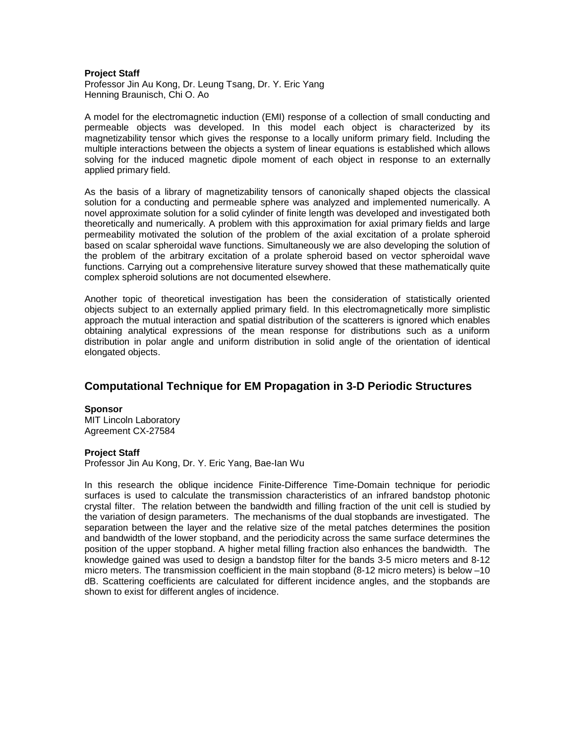#### **Project Staff**

Professor Jin Au Kong, Dr. Leung Tsang, Dr. Y. Eric Yang Henning Braunisch, Chi O. Ao

A model for the electromagnetic induction (EMI) response of a collection of small conducting and permeable objects was developed. In this model each object is characterized by its magnetizability tensor which gives the response to a locally uniform primary field. Including the multiple interactions between the objects a system of linear equations is established which allows solving for the induced magnetic dipole moment of each object in response to an externally applied primary field.

As the basis of a library of magnetizability tensors of canonically shaped objects the classical solution for a conducting and permeable sphere was analyzed and implemented numerically. A novel approximate solution for a solid cylinder of finite length was developed and investigated both theoretically and numerically. A problem with this approximation for axial primary fields and large permeability motivated the solution of the problem of the axial excitation of a prolate spheroid based on scalar spheroidal wave functions. Simultaneously we are also developing the solution of the problem of the arbitrary excitation of a prolate spheroid based on vector spheroidal wave functions. Carrying out a comprehensive literature survey showed that these mathematically quite complex spheroid solutions are not documented elsewhere.

Another topic of theoretical investigation has been the consideration of statistically oriented objects subject to an externally applied primary field. In this electromagnetically more simplistic approach the mutual interaction and spatial distribution of the scatterers is ignored which enables obtaining analytical expressions of the mean response for distributions such as a uniform distribution in polar angle and uniform distribution in solid angle of the orientation of identical elongated objects.

## **Computational Technique for EM Propagation in 3-D Periodic Structures**

#### **Sponsor**

MIT Lincoln Laboratory Agreement CX-27584

#### **Project Staff**

Professor Jin Au Kong, Dr. Y. Eric Yang, Bae-Ian Wu

In this research the oblique incidence Finite-Difference Time-Domain technique for periodic surfaces is used to calculate the transmission characteristics of an infrared bandstop photonic crystal filter. The relation between the bandwidth and filling fraction of the unit cell is studied by the variation of design parameters. The mechanisms of the dual stopbands are investigated. The separation between the layer and the relative size of the metal patches determines the position and bandwidth of the lower stopband, and the periodicity across the same surface determines the position of the upper stopband. A higher metal filling fraction also enhances the bandwidth. The knowledge gained was used to design a bandstop filter for the bands 3-5 micro meters and 8-12 micro meters. The transmission coefficient in the main stopband (8-12 micro meters) is below –10 dB. Scattering coefficients are calculated for different incidence angles, and the stopbands are shown to exist for different angles of incidence.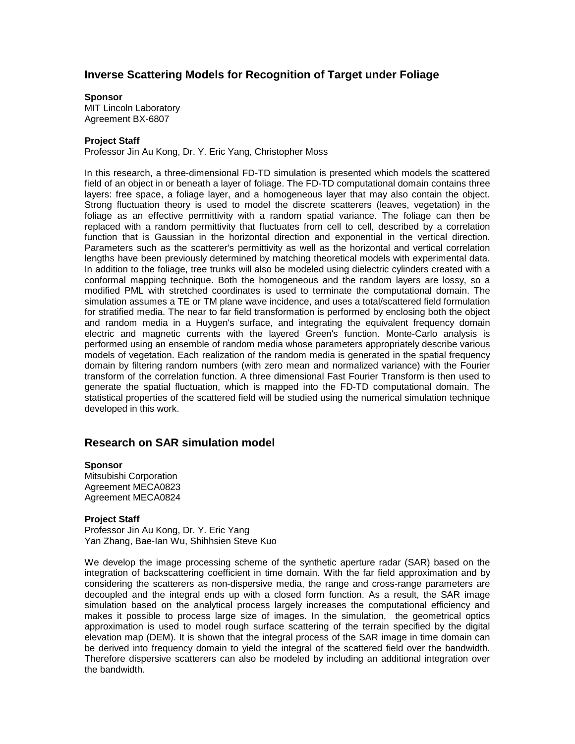## **Inverse Scattering Models for Recognition of Target under Foliage**

#### **Sponsor**

MIT Lincoln Laboratory Agreement BX-6807

#### **Project Staff**

Professor Jin Au Kong, Dr. Y. Eric Yang, Christopher Moss

In this research, a three-dimensional FD-TD simulation is presented which models the scattered field of an object in or beneath a layer of foliage. The FD-TD computational domain contains three layers: free space, a foliage layer, and a homogeneous layer that may also contain the object. Strong fluctuation theory is used to model the discrete scatterers (leaves, vegetation) in the foliage as an effective permittivity with a random spatial variance. The foliage can then be replaced with a random permittivity that fluctuates from cell to cell, described by a correlation function that is Gaussian in the horizontal direction and exponential in the vertical direction. Parameters such as the scatterer's permittivity as well as the horizontal and vertical correlation lengths have been previously determined by matching theoretical models with experimental data. In addition to the foliage, tree trunks will also be modeled using dielectric cylinders created with a conformal mapping technique. Both the homogeneous and the random layers are lossy, so a modified PML with stretched coordinates is used to terminate the computational domain. The simulation assumes a TE or TM plane wave incidence, and uses a total/scattered field formulation for stratified media. The near to far field transformation is performed by enclosing both the object and random media in a Huygen's surface, and integrating the equivalent frequency domain electric and magnetic currents with the layered Green's function. Monte-Carlo analysis is performed using an ensemble of random media whose parameters appropriately describe various models of vegetation. Each realization of the random media is generated in the spatial frequency domain by filtering random numbers (with zero mean and normalized variance) with the Fourier transform of the correlation function. A three dimensional Fast Fourier Transform is then used to generate the spatial fluctuation, which is mapped into the FD-TD computational domain. The statistical properties of the scattered field will be studied using the numerical simulation technique developed in this work.

## **Research on SAR simulation model**

#### **Sponsor**

Mitsubishi Corporation Agreement MECA0823 Agreement MECA0824

#### **Project Staff**

Professor Jin Au Kong, Dr. Y. Eric Yang Yan Zhang, Bae-Ian Wu, Shihhsien Steve Kuo

We develop the image processing scheme of the synthetic aperture radar (SAR) based on the integration of backscattering coefficient in time domain. With the far field approximation and by considering the scatterers as non-dispersive media, the range and cross-range parameters are decoupled and the integral ends up with a closed form function. As a result, the SAR image simulation based on the analytical process largely increases the computational efficiency and makes it possible to process large size of images. In the simulation, the geometrical optics approximation is used to model rough surface scattering of the terrain specified by the digital elevation map (DEM). It is shown that the integral process of the SAR image in time domain can be derived into frequency domain to yield the integral of the scattered field over the bandwidth. Therefore dispersive scatterers can also be modeled by including an additional integration over the bandwidth.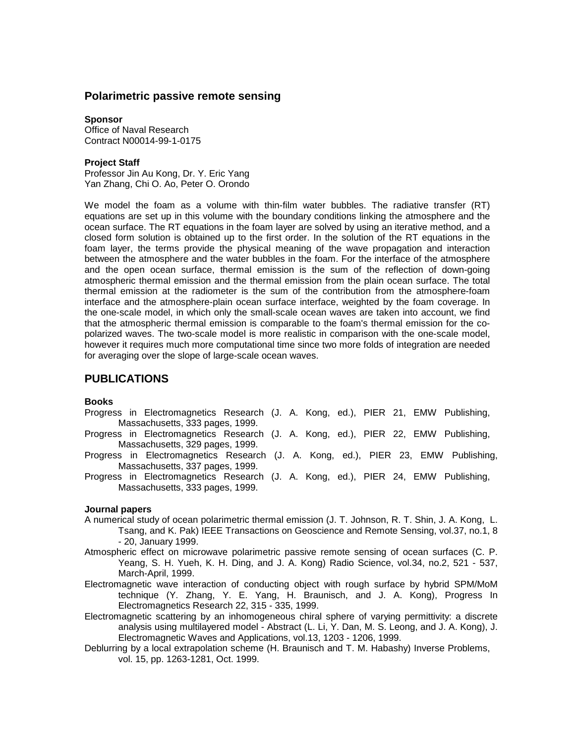## **Polarimetric passive remote sensing**

**Sponsor** Office of Naval Research Contract N00014-99-1-0175

### **Project Staff**

Professor Jin Au Kong, Dr. Y. Eric Yang Yan Zhang, Chi O. Ao, Peter O. Orondo

We model the foam as a volume with thin-film water bubbles. The radiative transfer (RT) equations are set up in this volume with the boundary conditions linking the atmosphere and the ocean surface. The RT equations in the foam layer are solved by using an iterative method, and a closed form solution is obtained up to the first order. In the solution of the RT equations in the foam layer, the terms provide the physical meaning of the wave propagation and interaction between the atmosphere and the water bubbles in the foam. For the interface of the atmosphere and the open ocean surface, thermal emission is the sum of the reflection of down-going atmospheric thermal emission and the thermal emission from the plain ocean surface. The total thermal emission at the radiometer is the sum of the contribution from the atmosphere-foam interface and the atmosphere-plain ocean surface interface, weighted by the foam coverage. In the one-scale model, in which only the small-scale ocean waves are taken into account, we find that the atmospheric thermal emission is comparable to the foam's thermal emission for the copolarized waves. The two-scale model is more realistic in comparison with the one-scale model, however it requires much more computational time since two more folds of integration are needed for averaging over the slope of large-scale ocean waves.

## **PUBLICATIONS**

#### **Books**

- Progress in Electromagnetics Research (J. A. Kong, ed.), PIER 21, EMW Publishing, Massachusetts, 333 pages, 1999.
- Progress in Electromagnetics Research (J. A. Kong, ed.), PIER 22, EMW Publishing, Massachusetts, 329 pages, 1999.
- Progress in Electromagnetics Research (J. A. Kong, ed.), PIER 23, EMW Publishing, Massachusetts, 337 pages, 1999.
- Progress in Electromagnetics Research (J. A. Kong, ed.), PIER 24, EMW Publishing, Massachusetts, 333 pages, 1999.

#### **Journal papers**

- A numerical study of ocean polarimetric thermal emission (J. T. Johnson, R. T. Shin, J. A. Kong, L. Tsang, and K. Pak) IEEE Transactions on Geoscience and Remote Sensing, vol.37, no.1, 8 - 20, January 1999.
- Atmospheric effect on microwave polarimetric passive remote sensing of ocean surfaces (C. P. Yeang, S. H. Yueh, K. H. Ding, and J. A. Kong) Radio Science, vol.34, no.2, 521 - 537, March-April, 1999.
- Electromagnetic wave interaction of conducting object with rough surface by hybrid SPM/MoM technique (Y. Zhang, Y. E. Yang, H. Braunisch, and J. A. Kong), Progress In Electromagnetics Research 22, 315 - 335, 1999.
- Electromagnetic scattering by an inhomogeneous chiral sphere of varying permittivity: a discrete analysis using multilayered model - Abstract (L. Li, Y. Dan, M. S. Leong, and J. A. Kong), J. Electromagnetic Waves and Applications, vol.13, 1203 - 1206, 1999.
- Deblurring by a local extrapolation scheme (H. Braunisch and T. M. Habashy) Inverse Problems, vol. 15, pp. 1263-1281, Oct. 1999.